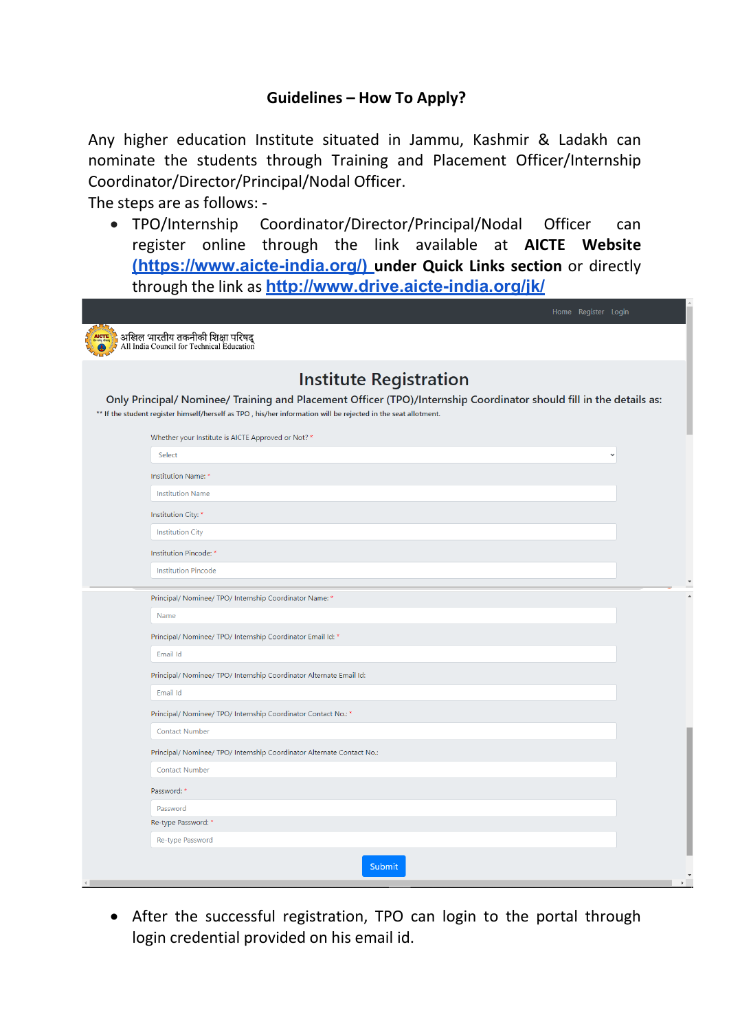## **Guidelines – How To Apply?**

Any higher education Institute situated in Jammu, Kashmir & Ladakh can nominate the students through Training and Placement Officer/Internship Coordinator/Director/Principal/Nodal Officer.

The steps are as follows: -

• TPO/Internship Coordinator/Director/Principal/Nodal Officer can register online through the link available at **AICTE Website [\(https://www.aicte-india.org/\)](https://www.aicte-india.org/) under Quick Links section** or directly through the link as **<http://www.drive.aicte-india.org/jk/>**

| <b>Institute Registration</b>                                                                                       |
|---------------------------------------------------------------------------------------------------------------------|
| Only Principal/ Nominee/ Training and Placement Officer (TPO)/Internship Coordinator should fill in the details as: |
| ** If the student register himself/herself as TPO, his/her information will be rejected in the seat allotment.      |
| Whether your Institute is AICTE Approved or Not? *                                                                  |
| Select                                                                                                              |
| Institution Name: *                                                                                                 |
| <b>Institution Name</b>                                                                                             |
| Institution City: *                                                                                                 |
| <b>Institution City</b>                                                                                             |
| Institution Pincode: *                                                                                              |
| <b>Institution Pincode</b>                                                                                          |
|                                                                                                                     |
| Principal/ Nominee/ TPO/ Internship Coordinator Name: *                                                             |
| Name                                                                                                                |
| Principal/ Nominee/ TPO/ Internship Coordinator Email Id: *                                                         |
| Email Id                                                                                                            |
| Principal/ Nominee/ TPO/ Internship Coordinator Alternate Email Id:                                                 |
| Email Id                                                                                                            |
| Principal/ Nominee/ TPO/ Internship Coordinator Contact No.: *                                                      |
| <b>Contact Number</b>                                                                                               |
| Principal/ Nominee/ TPO/ Internship Coordinator Alternate Contact No.:                                              |
| <b>Contact Number</b>                                                                                               |
| Password: *                                                                                                         |
| Password                                                                                                            |
| Re-type Password: *                                                                                                 |

• After the successful registration, TPO can login to the portal through login credential provided on his email id.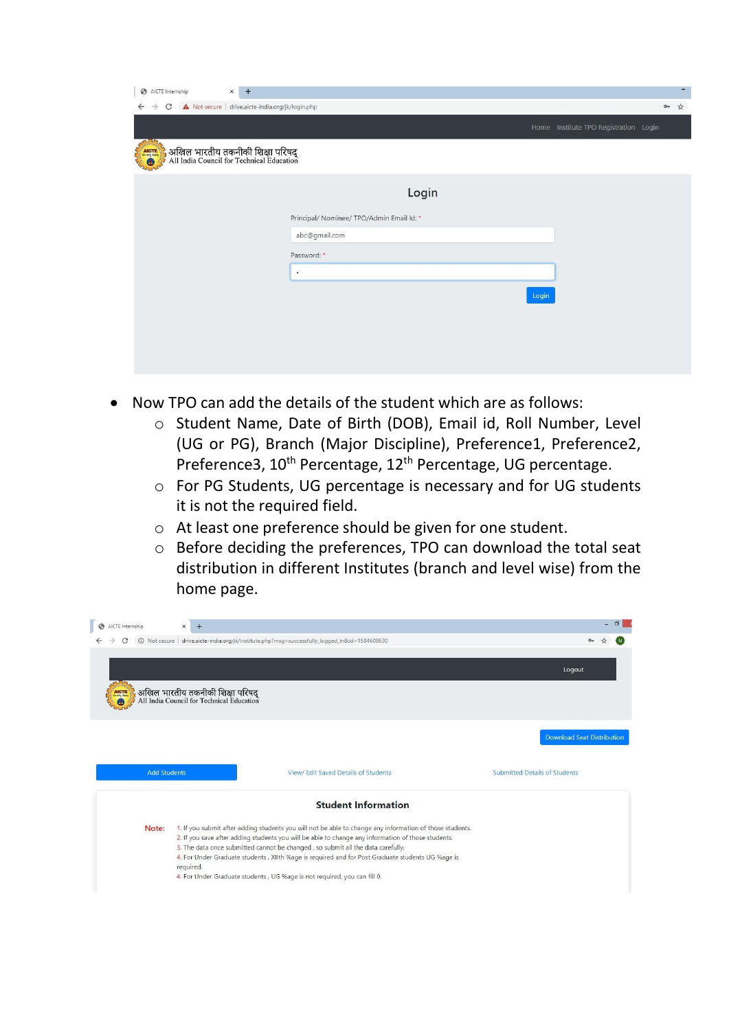| $\odot$<br>AICTE Internship                    | $\times$<br>$+$                                                               |                                           |       | - |
|------------------------------------------------|-------------------------------------------------------------------------------|-------------------------------------------|-------|---|
| $\mathcal{C}$<br>$\rightarrow$<br>$\leftarrow$ | A Not secure   drive.aicte-india.org/jk/login.php                             |                                           | $O_T$ | ☆ |
|                                                |                                                                               | Home Institute TPO Registration Login     |       |   |
| $\sim$<br>AICTE<br>$\bullet$                   | अखिल भारतीय तकनीकी शिक्षा परिषद्<br>All India Council for Technical Education |                                           |       |   |
|                                                |                                                                               | Login                                     |       |   |
|                                                |                                                                               | Principal/ Nominee/ TPO/Admin Email Id: * |       |   |
|                                                |                                                                               | abc@gmail.com                             |       |   |
|                                                |                                                                               | Password: *                               |       |   |
|                                                |                                                                               | $\bullet$                                 |       |   |
|                                                |                                                                               | Login                                     |       |   |
|                                                |                                                                               |                                           |       |   |
|                                                |                                                                               |                                           |       |   |
|                                                |                                                                               |                                           |       |   |
|                                                |                                                                               |                                           |       |   |

- Now TPO can add the details of the student which are as follows:
	- o Student Name, Date of Birth (DOB), Email id, Roll Number, Level (UG or PG), Branch (Major Discipline), Preference1, Preference2, Preference3, 10<sup>th</sup> Percentage, 12<sup>th</sup> Percentage, UG percentage.
	- o For PG Students, UG percentage is necessary and for UG students it is not the required field.
	- o At least one preference should be given for one student.
	- o Before deciding the preferences, TPO can download the total seat distribution in different Institutes (branch and level wise) from the home page.

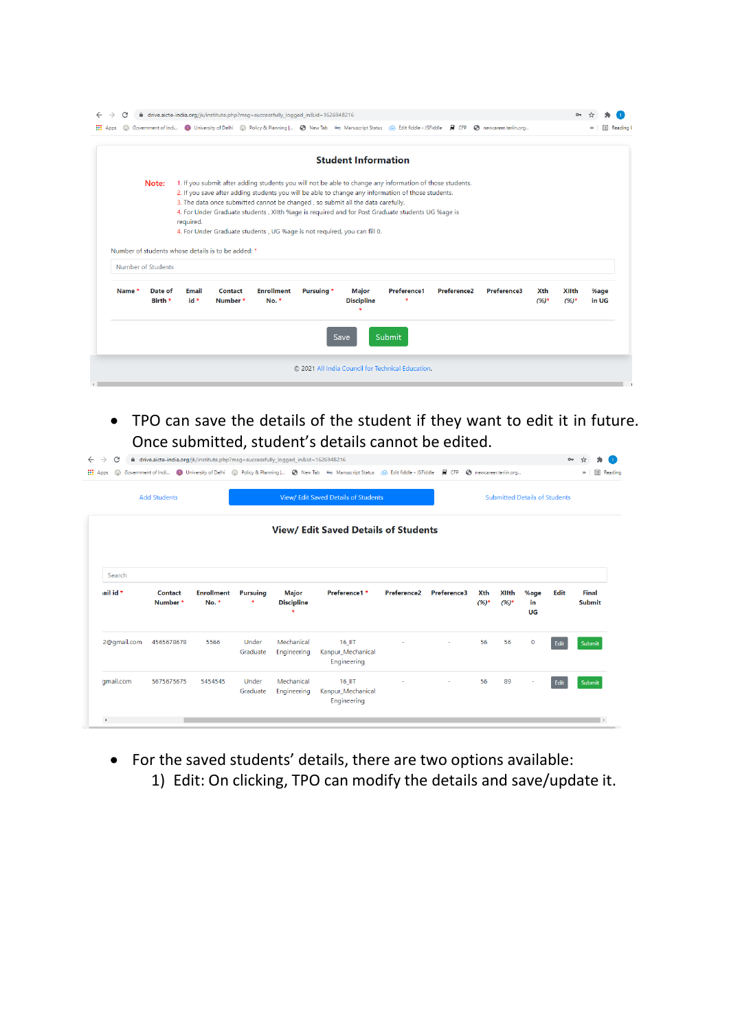|                    |         |           |                                                    |                                                                                 |            | <b>Student Information</b> |                                                                                                          |                         |             |          |              |       |
|--------------------|---------|-----------|----------------------------------------------------|---------------------------------------------------------------------------------|------------|----------------------------|----------------------------------------------------------------------------------------------------------|-------------------------|-------------|----------|--------------|-------|
|                    | Note:   |           |                                                    |                                                                                 |            |                            | 1. If you submit after adding students you will not be able to change any information of those students. |                         |             |          |              |       |
|                    |         |           |                                                    |                                                                                 |            |                            | 2. If you save after adding students you will be able to change any information of those students.       |                         |             |          |              |       |
|                    |         |           |                                                    | 3. The data once submitted cannot be changed, so submit all the data carefully. |            |                            |                                                                                                          |                         |             |          |              |       |
|                    |         | required. |                                                    |                                                                                 |            |                            | 4. For Under Graduate students, XIIth %age is required and for Post Graduate students UG %age is         |                         |             |          |              |       |
|                    |         |           |                                                    | 4. For Under Graduate students, UG %age is not required, you can fill 0.        |            |                            |                                                                                                          |                         |             |          |              |       |
|                    |         |           |                                                    |                                                                                 |            |                            |                                                                                                          |                         |             |          |              |       |
|                    |         |           | Number of students whose details is to be added: * |                                                                                 |            |                            |                                                                                                          |                         |             |          |              |       |
| Number of Students |         |           |                                                    |                                                                                 |            |                            |                                                                                                          |                         |             |          |              |       |
| Name *             | Date of | Email     | Contact                                            | <b>Enrollment</b>                                                               | Pursuing * | <b>Major</b>               | Preference1                                                                                              | Preference <sub>2</sub> | Preference3 | Xth      | <b>XIIth</b> | %age  |
|                    | Birth * | id *      | Number*                                            | $No.$ *                                                                         |            | <b>Discipline</b>          |                                                                                                          |                         |             | $(96)$ * | $(96)^*$     | in UG |
|                    |         |           |                                                    |                                                                                 |            | ٠                          |                                                                                                          |                         |             |          |              |       |
|                    |         |           |                                                    |                                                                                 |            |                            | <b>Submit</b>                                                                                            |                         |             |          |              |       |
|                    |         |           |                                                    |                                                                                 |            | Save                       |                                                                                                          |                         |             |          |              |       |

• TPO can save the details of the student if they want to edit it in future. Once submitted, student's details cannot be edited.

| <b>III</b> Apps |                     |                            |                   |                                   | G Government of Indi ( University of Delhi ( Policy & Planning   ( New Tab Rey Manuscript Status ( Edit fiddle - JSFiddle |                    | <i>a</i> CFP | newcareer.teriin.org |                          |                                      |      | 田<br>$\gg$             |
|-----------------|---------------------|----------------------------|-------------------|-----------------------------------|---------------------------------------------------------------------------------------------------------------------------|--------------------|--------------|----------------------|--------------------------|--------------------------------------|------|------------------------|
|                 | <b>Add Students</b> |                            |                   |                                   | <b>View/ Edit Saved Details of Students</b>                                                                               |                    |              |                      |                          | <b>Submitted Details of Students</b> |      |                        |
|                 |                     |                            |                   |                                   | <b>View/ Edit Saved Details of Students</b>                                                                               |                    |              |                      |                          |                                      |      |                        |
| Search          |                     |                            |                   |                                   |                                                                                                                           |                    |              |                      |                          |                                      |      |                        |
| ail id *        | Contact<br>Number*  | <b>Enrollment</b><br>No. * | <b>Pursuing</b>   | <b>Major</b><br><b>Discipline</b> | Preference1 *                                                                                                             | <b>Preference2</b> | Preference3  | Xth<br>$(96)$ *      | <b>XIIth</b><br>$(96)^*$ | %age<br>in<br>UG                     | Edit | Final<br><b>Submit</b> |
| 2@qmail.com     | 4565678678          | 5566                       | Under<br>Graduate | Mechanical<br>Engineering         | 16 IIT<br>Kanpur_Mechanical<br>Engineering                                                                                |                    |              | 56                   | 56                       | $\mathbf 0$                          | Edit | Submit                 |
| qmail.com       | 5675675675          | 5454545                    | Under<br>Graduate | Mechanical<br>Engineering         | 16 IIT<br>Kanpur_Mechanical<br>Engineering                                                                                |                    |              | 56                   | 89                       | ٠                                    | Edit | Submit                 |

• For the saved students' details, there are two options available: 1) Edit: On clicking, TPO can modify the details and save/update it.